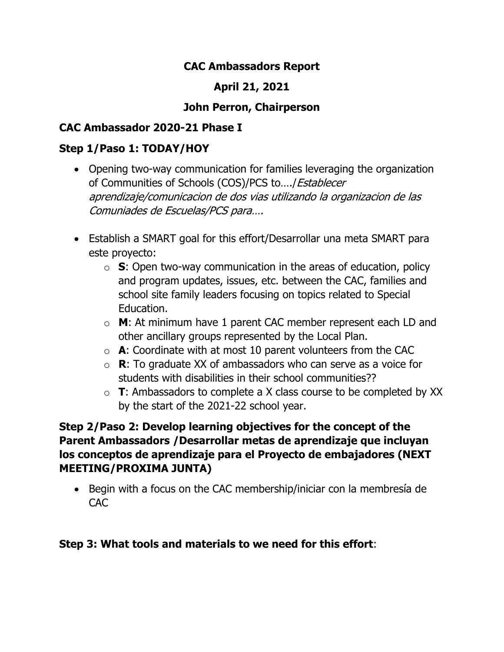### **CAC Ambassadors Report**

# **April 21, 2021**

## **John Perron, Chairperson**

## **CAC Ambassador 2020-21 Phase I**

#### **Step 1/Paso 1: TODAY/HOY**

- Opening two-way communication for families leveraging the organization of Communities of Schools (COS)/PCS to…./Establecer aprendizaje/comunicacion de dos vias utilizando la organizacion de las Comuniades de Escuelas/PCS para….
- Establish a SMART goal for this effort/Desarrollar una meta SMART para este proyecto:
	- o **S**: Open two-way communication in the areas of education, policy and program updates, issues, etc. between the CAC, families and school site family leaders focusing on topics related to Special Education.
	- o **M**: At minimum have 1 parent CAC member represent each LD and other ancillary groups represented by the Local Plan.
	- o **A**: Coordinate with at most 10 parent volunteers from the CAC
	- o **R**: To graduate XX of ambassadors who can serve as a voice for students with disabilities in their school communities??
	- o **T**: Ambassadors to complete a X class course to be completed by XX by the start of the 2021-22 school year.

## **Step 2/Paso 2: Develop learning objectives for the concept of the Parent Ambassadors /Desarrollar metas de aprendizaje que incluyan los conceptos de aprendizaje para el Proyecto de embajadores (NEXT MEETING/PROXIMA JUNTA)**

• Begin with a focus on the CAC membership/iniciar con la membresía de CAC

#### **Step 3: What tools and materials to we need for this effort**: